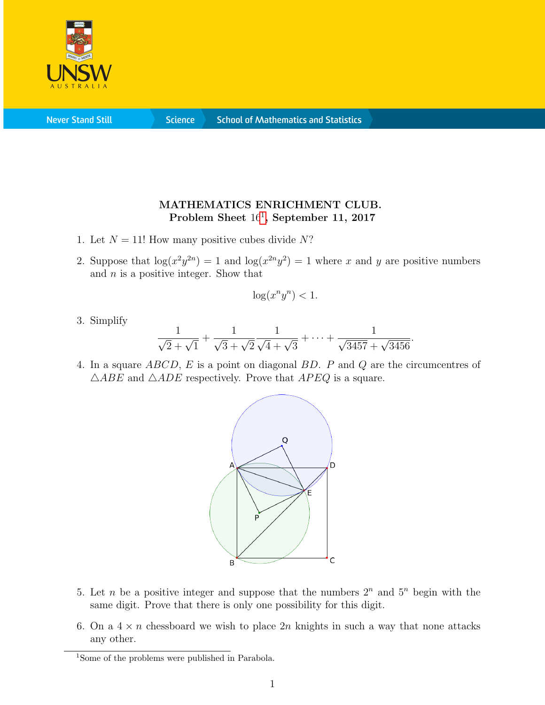

**Never Stand Still** 

**Science** 

## MATHEMATICS ENRICHMENT CLUB. Problem Sheet [1](#page-0-0)6<sup>1</sup>, September 11, 2017

- 1. Let  $N = 11!$  How many positive cubes divide N?
- 2. Suppose that  $\log(x^2 y^{2n}) = 1$  and  $\log(x^{2n} y^2) = 1$  where x and y are positive numbers and  $n$  is a positive integer. Show that

$$
\log(x^n y^n) < 1.
$$

3. Simplify

$$
\frac{1}{\sqrt{2}+\sqrt{1}}+\frac{1}{\sqrt{3}+\sqrt{2}}\frac{1}{\sqrt{4}+\sqrt{3}}+\cdots+\frac{1}{\sqrt{3457}+\sqrt{3456}}.
$$

4. In a square ABCD, E is a point on diagonal BD. P and Q are the circumcentres of  $\triangle ABE$  and  $\triangle ADE$  respectively. Prove that  $APEQ$  is a square.



- 5. Let *n* be a positive integer and suppose that the numbers  $2^n$  and  $5^n$  begin with the same digit. Prove that there is only one possibility for this digit.
- 6. On a  $4 \times n$  chessboard we wish to place  $2n$  knights in such a way that none attacks any other.

<span id="page-0-0"></span><sup>&</sup>lt;sup>1</sup>Some of the problems were published in Parabola.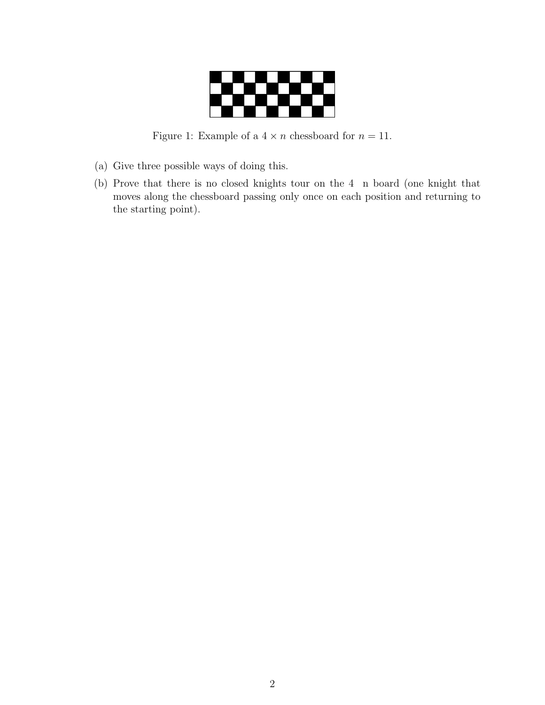

Figure 1: Example of a  $4 \times n$  chessboard for  $n = 11$ .

- (a) Give three possible ways of doing this.
- (b) Prove that there is no closed knights tour on the 4 n board (one knight that moves along the chessboard passing only once on each position and returning to the starting point).